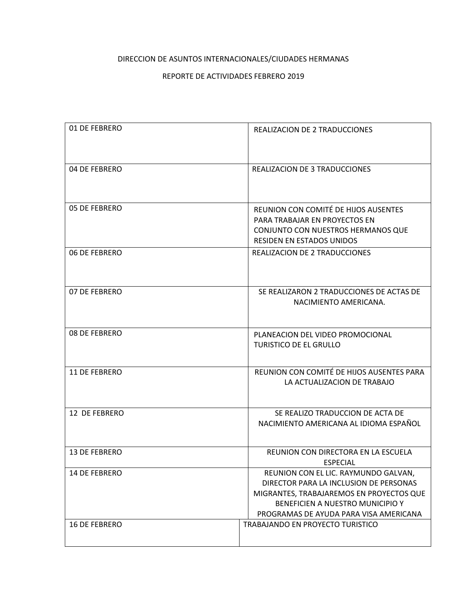## DIRECCION DE ASUNTOS INTERNACIONALES/CIUDADES HERMANAS

## REPORTE DE ACTIVIDADES FEBRERO 2019

| 01 DE FEBRERO        | <b>REALIZACION DE 2 TRADUCCIONES</b>                                                                                                                                                                     |
|----------------------|----------------------------------------------------------------------------------------------------------------------------------------------------------------------------------------------------------|
| 04 DE FEBRERO        | <b>REALIZACION DE 3 TRADUCCIONES</b>                                                                                                                                                                     |
| 05 DE FEBRERO        | REUNION CON COMITÉ DE HIJOS AUSENTES<br>PARA TRABAJAR EN PROYECTOS EN<br>CONJUNTO CON NUESTROS HERMANOS QUE<br><b>RESIDEN EN ESTADOS UNIDOS</b>                                                          |
| 06 DE FEBRERO        | REALIZACION DE 2 TRADUCCIONES                                                                                                                                                                            |
| 07 DE FEBRERO        | SE REALIZARON 2 TRADUCCIONES DE ACTAS DE<br>NACIMIENTO AMERICANA.                                                                                                                                        |
| 08 DE FEBRERO        | PLANEACION DEL VIDEO PROMOCIONAL<br><b>TURISTICO DE EL GRULLO</b>                                                                                                                                        |
| 11 DE FEBRERO        | REUNION CON COMITÉ DE HIJOS AUSENTES PARA<br>LA ACTUALIZACION DE TRABAJO                                                                                                                                 |
| 12 DE FEBRERO        | SE REALIZO TRADUCCION DE ACTA DE<br>NACIMIENTO AMERICANA AL IDIOMA ESPAÑOL                                                                                                                               |
| 13 DE FEBRERO        | REUNION CON DIRECTORA EN LA ESCUELA<br>ESPECIAL                                                                                                                                                          |
| 14 DE FEBRERO        | REUNION CON EL LIC. RAYMUNDO GALVAN,<br>DIRECTOR PARA LA INCLUSION DE PERSONAS<br>MIGRANTES, TRABAJAREMOS EN PROYECTOS QUE<br>BENEFICIEN A NUESTRO MUNICIPIO Y<br>PROGRAMAS DE AYUDA PARA VISA AMERICANA |
| <b>16 DE FEBRERO</b> | TRABAJANDO EN PROYECTO TURISTICO                                                                                                                                                                         |